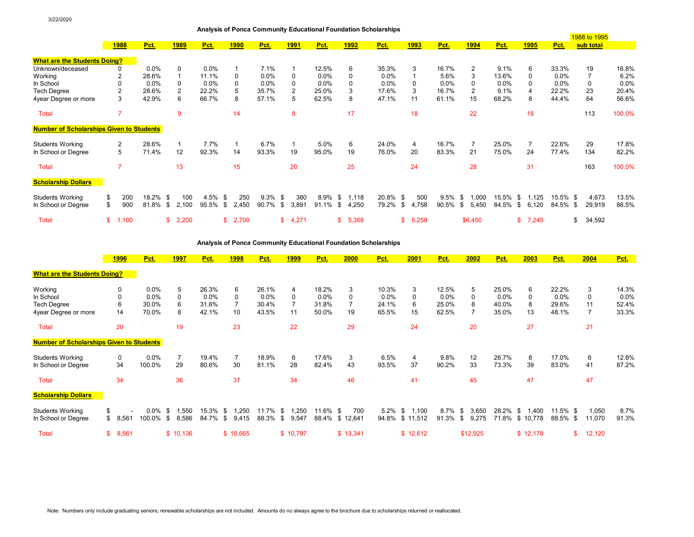| Analysis of Ponca Community Educational Foundation Scholarships |  |  |
|-----------------------------------------------------------------|--|--|
|                                                                 |  |  |

|                                                 |             |          |    |                |            |      |             |            |             |            |      |              | $\frac{1}{2}$ and $\frac{1}{2}$ or $\frac{1}{2}$ . Then $\frac{1}{2}$ contributed in the contribution of the contribution of the contribution of the contribution of the contribution of the contribution of the contribution of the contribu |             |         |     |                |         |    |             | 1988 to 1995 |           |        |        |
|-------------------------------------------------|-------------|----------|----|----------------|------------|------|-------------|------------|-------------|------------|------|--------------|-----------------------------------------------------------------------------------------------------------------------------------------------------------------------------------------------------------------------------------------------|-------------|---------|-----|----------------|---------|----|-------------|--------------|-----------|--------|--------|
|                                                 | <b>1988</b> | Pct.     |    | <u>1989</u>    | Pct.       |      | <u>1990</u> | Pct.       | <u>1991</u> | Pct.       |      | <b>1992</b>  | Pct.                                                                                                                                                                                                                                          | <u>1993</u> | Pct.    |     | <b>1994</b>    | Pct.    |    | <u>1995</u> | Pct.         | sub total |        |        |
| <b>What are the Students Doing?</b>             |             |          |    |                |            |      |             |            |             |            |      |              |                                                                                                                                                                                                                                               |             |         |     |                |         |    |             |              |           |        |        |
| Unknown/deceased                                | 0           | $0.0\%$  |    | 0              | $0.0\%$    |      |             | 7.1%       |             | 12.5%      |      | 6            | 35.3%                                                                                                                                                                                                                                         | 3           | 16.7%   |     | 2              | 9.1%    |    | 6           | 33.3%        | 19        |        | 16.8%  |
| Working                                         |             | 28.6%    |    | 1              | 11.1%      |      | 0           | $0.0\%$    | $\Omega$    | 0.0%       |      | $\Omega$     | $0.0\%$                                                                                                                                                                                                                                       |             | 5.6%    |     | 3              | 13.6%   |    | 0           | $0.0\%$      |           |        | 6.2%   |
| In School                                       | 0           | 0.0%     |    | $\Omega$       | $0.0\%$    |      |             | $0.0\%$    | 0           | 0.0%       |      | <sup>0</sup> | 0.0%                                                                                                                                                                                                                                          |             | $0.0\%$ |     | 0              | $0.0\%$ |    | 0           | $0.0\%$      |           |        | 0.0%   |
| <b>Tech Degree</b>                              |             | 28.6%    |    | $\overline{2}$ | 22.2%      |      |             | 35.7%      | 2           | 25.0%      |      | 3            | 17.6%                                                                                                                                                                                                                                         |             | 16.7%   |     | 2              | 9.1%    |    | 4           | 22.2%        | 23        |        | 20.4%  |
| 4year Degree or more                            | 3           | 42.9%    |    | 6              | 66.7%      |      | 8           | 57.1%      | 5           | 62.5%      |      | 8            | 47.1%                                                                                                                                                                                                                                         | 11          | 61.1%   |     | 15             | 68.2%   |    | 8           | 44.4%        | 64        |        | 56.6%  |
| <b>Total</b>                                    |             |          |    | 9              |            |      | 14          |            | 8           |            |      | 17           |                                                                                                                                                                                                                                               | 18          |         |     | 22             |         |    | 18          |              | 113       |        | 100.0% |
| <b>Number of Scholarships Given to Students</b> |             |          |    |                |            |      |             |            |             |            |      |              |                                                                                                                                                                                                                                               |             |         |     |                |         |    |             |              |           |        |        |
| <b>Students Working</b>                         | 2           | 28.6%    |    | $\mathbf{1}$   | 7.7%       |      |             | 6.7%       |             | 5.0%       |      | 6            | 24.0%                                                                                                                                                                                                                                         | 4           | 16.7%   |     | $\overline{7}$ | 25.0%   |    | 7           | 22.6%        | 29        |        | 17.8%  |
| In School or Degree                             | 5           | 71.4%    |    | 12             | 92.3%      |      | 14          | 93.3%      | 19          | 95.0%      |      | 19           | 76.0%                                                                                                                                                                                                                                         | 20          | 83.3%   |     | 21             | 75.0%   |    | 24          | 77.4%        | 134       |        | 82.2%  |
| Total                                           |             |          |    | 13             |            |      | 15          |            | 20          |            |      | 25           |                                                                                                                                                                                                                                               | 24          |         |     | 28             |         |    | 31          |              | 163       |        | 100.0% |
| <b>Scholarship Dollars</b>                      |             |          |    |                |            |      |             |            |             |            |      |              |                                                                                                                                                                                                                                               |             |         |     |                |         |    |             |              |           |        |        |
| <b>Students Working</b>                         | \$<br>200   | 18.2% \$ |    | 100            | $4.5\%$ \$ |      | 250         | $9.3\%$ \$ | 380         | $8.9\%$ \$ |      | 1.118        | 20.8% \$                                                                                                                                                                                                                                      | 500         | 9.5%    | \$. | 1,000          | 15.5%   | S. | 1,125       | 15.5% \$     |           | 4,673  | 13.5%  |
| In School or Degree                             | \$<br>900   | 81.8%    | -S | 2,100          | 95.5%      | - \$ | 2,450       | 90.7%      | \$<br>3,891 | 91.1%      | - \$ | 4,250        | 79.2% \$                                                                                                                                                                                                                                      | 4,758       | 90.5%   | \$  | 5,450          | 84.5%   | \$ | 6,120       | 84.5% \$     |           | 29,919 | 86.5%  |
| Total                                           | \$<br>1,100 |          |    | \$2,200        |            | \$   | 2,700       |            | \$4,271     |            | \$   | 5,368        |                                                                                                                                                                                                                                               | 5,258       |         |     | \$6,450        |         | \$ | 7,245       |              | \$        | 34,592 |        |

**Analysis of Ponca Community Educational Foundation Scholarships**

|                                                 | <b>1996</b>              | Pct.    |      | 1997           | Pct.     | <b>1998</b>   | Pct.    |      | <b>1999</b> | <u>Pct.</u> | 2000           | <u>Pct.</u> | 2001           | Pct.        | 2002        | Pct.    | 2003         | Pct.        | 2004         | Pct.  |
|-------------------------------------------------|--------------------------|---------|------|----------------|----------|---------------|---------|------|-------------|-------------|----------------|-------------|----------------|-------------|-------------|---------|--------------|-------------|--------------|-------|
| <b>What are the Students Doing?</b>             |                          |         |      |                |          |               |         |      |             |             |                |             |                |             |             |         |              |             |              |       |
| Working                                         | 0                        | 0.0%    |      | 5              | 26.3%    | 6             | 26.1%   |      | 4           | 18.2%       | 3              | 10.3%       | 3              | 12.5%       | 5           | 25.0%   | 6            | 22.2%       | 3            | 14.3% |
| In School                                       |                          | 0.0%    |      | 0              | 0.0%     | 0             | $0.0\%$ |      | 0           | $0.0\%$     | 0              | 0.0%        | 0              | 0.0%        | $\Omega$    | $0.0\%$ | 0            | 0.0%        | <sup>0</sup> | 0.0%  |
| <b>Tech Degree</b>                              | 6                        | 30.0%   |      | 6              | 31.6%    |               | 30.4%   |      |             | 31.8%       |                | 24.1%       | 6              | 25.0%       | 8           | 40.0%   | 8            | 29.6%       |              | 52.4% |
| 4year Degree or more                            | 14                       | 70.0%   |      | 8              | 42.1%    | 10            | 43.5%   |      | 11          | 50.0%       | 19             | 65.5%       | 15             | 62.5%       |             | 35.0%   | 13           | 48.1%       |              | 33.3% |
| Total                                           | 20                       |         |      | 19             |          | 23            |         |      | 22          |             | 29             |             | 24             |             | 20          |         | 27           |             | 21           |       |
| <b>Number of Scholarships Given to Students</b> |                          |         |      |                |          |               |         |      |             |             |                |             |                |             |             |         |              |             |              |       |
| <b>Students Working</b>                         | 0                        | 0.0%    |      | $\overline{7}$ | 19.4%    |               | 18.9%   |      | 6           | 17.6%       | 3              | 6.5%        | 4              | 9.8%        | 12          | 26.7%   | 8            | 17.0%       | 6            | 12.8% |
| In School or Degree                             | 34                       | 100.0%  |      | 29             | 80.6%    | 30            | 81.1%   |      | 28          | 82.4%       | 43             | 93.5%       | 37             | 90.2%       | 33          | 73.3%   | 39           | 83.0%       | 41           | 87.2% |
| Total                                           | 34                       |         |      | 36             |          | 37            |         |      | 34          |             | 46             |             | 41             |             | 45          |         | 47           |             | 47           |       |
| <b>Scholarship Dollars</b>                      |                          |         |      |                |          |               |         |      |             |             |                |             |                |             |             |         |              |             |              |       |
| <b>Students Working</b>                         | $\overline{\phantom{a}}$ | $0.0\%$ | - \$ | .550           | 15.3% \$ | .250          | 11.7%   | - \$ | .250        | $11.6\%$ \$ | 700            | $5.2\%$ \$  | 1,100          | 8.7%        | 3,650<br>\$ | 28.2%   | 1.400<br>-\$ | $11.5\%$ \$ | 1,050        | 8.7%  |
| In School or Degree                             | \$<br>8,561              | 100.0%  | - \$ | 8,586          | 84.7%    | 9,415<br>- \$ | 88.3%   | \$   | 9,547       |             | 88.4% \$12,641 |             | 94.8% \$11,512 | 91.3%<br>\$ | 9,275       | 71.8%   | \$10,778     | 88.5% \$    | 11,070       | 91.3% |
| <b>Total</b>                                    | \$<br>8,561              |         |      | \$10,136       |          | \$10,665      |         |      | \$10,797    |             | \$13,341       |             | \$12,612       |             | \$12,925    |         | \$12,178     | \$          | 12,120       |       |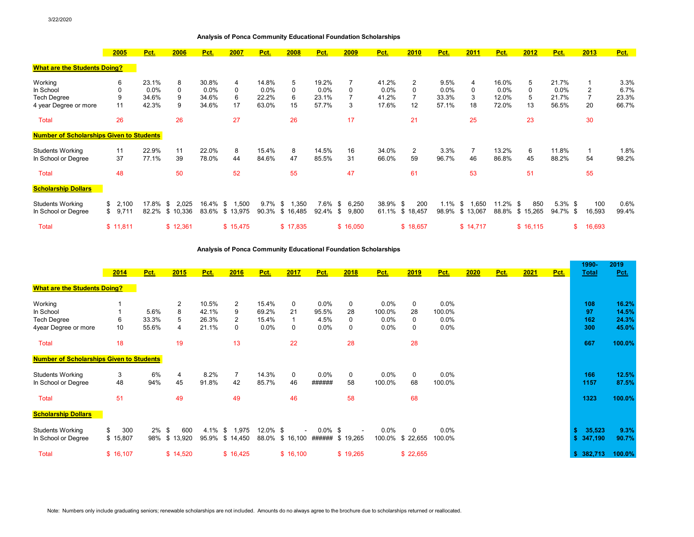## **Analysis of Ponca Community Educational Foundation Scholarships**

|                                                 | 2005        | Pct.  | 2006          | Pct.     | 2007           | Pct.    | 2008         | Pct.    | 2009           | Pct.     | 2010            | Pct.  | 2011         | Pct.  | 2012        | Pct.       | 2013           | Pct.  |
|-------------------------------------------------|-------------|-------|---------------|----------|----------------|---------|--------------|---------|----------------|----------|-----------------|-------|--------------|-------|-------------|------------|----------------|-------|
| <b>What are the Students Doing?</b>             |             |       |               |          |                |         |              |         |                |          |                 |       |              |       |             |            |                |       |
| Working                                         | 6           | 23.1% | 8             | 30.8%    | 4              | 14.8%   | 5            | 19.2%   | $\overline{7}$ | 41.2%    | 2               | 9.5%  | 4            | 16.0% | 5           | 21.7%      |                | 3.3%  |
| In School                                       | 0           | 0.0%  | 0             | 0.0%     | $\Omega$       | 0.0%    | 0            | $0.0\%$ | 0              | 0.0%     | $\Omega$        | 0.0%  | 0            | 0.0%  | 0           | $0.0\%$    | $\overline{2}$ | 6.7%  |
| <b>Tech Degree</b>                              | 9           | 34.6% | 9             | 34.6%    | 6              | 22.2%   | 6            | 23.1%   |                | 41.2%    |                 | 33.3% | 3            | 12.0% | 5           | 21.7%      |                | 23.3% |
| 4 year Degree or more                           | 11          | 42.3% | 9             | 34.6%    | 17             | 63.0%   | 15           | 57.7%   | 3              | 17.6%    | 12              | 57.1% | 18           | 72.0% | 13          | 56.5%      | 20             | 66.7% |
| <b>Total</b>                                    | 26          |       | 26            |          | 27             |         | 26           |         | 17             |          | 21              |       | 25           |       | 23          |            | 30             |       |
| <b>Number of Scholarships Given to Students</b> |             |       |               |          |                |         |              |         |                |          |                 |       |              |       |             |            |                |       |
| <b>Students Working</b>                         | 11          | 22.9% | 11            | 22.0%    | 8              | 15.4%   | 8            | 14.5%   | 16             | 34.0%    | 2               | 3.3%  | -7           | 13.2% | 6           | 11.8%      |                | 1.8%  |
| In School or Degree                             | 37          | 77.1% | 39            | 78.0%    | 44             | 84.6%   | 47           | 85.5%   | 31             | 66.0%    | 59              | 96.7% | 46           | 86.8% | 45          | 88.2%      | 54             | 98.2% |
| <b>Total</b>                                    | 48          |       | 50            |          | 52             |         | 55           |         | 47             |          | 61              |       | 53           |       | 51          |            | 55             |       |
| <b>Scholarship Dollars</b>                      |             |       |               |          |                |         |              |         |                |          |                 |       |              |       |             |            |                |       |
| <b>Students Working</b>                         | \$<br>2,100 | 17.8% | 2,025<br>- \$ | 16.4% \$ | .500           | $9.7\%$ | .350<br>- \$ | 7.6%    | 6,250<br>- \$  | 38.9% \$ | 200             | 1.1%  | 1,650<br>-\$ | 11.2% | 850<br>- \$ | $5.3\%$ \$ | 100            | 0.6%  |
| In School or Degree                             | 9,711<br>\$ | 82.2% | \$10,336      |          | 83.6% \$13,975 | 90.3%   | \$16,485     | 92.4%   | 9,800<br>- \$  |          | 61.1% \$ 18,457 | 98.9% | \$13,067     | 88.8% | \$15,265    | 94.7% \$   | 16,593         | 99.4% |
| <b>Total</b>                                    | \$11,811    |       | \$12,361      |          | \$15,475       |         | \$17,835     |         | \$16,050       |          | \$18,657        |       | \$14,717     |       | \$16,115    | \$         | 16,693         |       |

**Analysis of Ponca Community Educational Foundation Scholarships**

|                                                 |           |          |                |            |                 |             |                          |            |                          |         |                  |         |      |      |      |      | 1990-        | 2019        |
|-------------------------------------------------|-----------|----------|----------------|------------|-----------------|-------------|--------------------------|------------|--------------------------|---------|------------------|---------|------|------|------|------|--------------|-------------|
|                                                 | 2014      | Pct.     | 2015           | Pct.       | 2016            | Pct.        | 2017                     | Pct.       | 2018                     | Pct.    | 2019             | Pct.    | 2020 | Pct. | 2021 | Pct. | <b>Total</b> | <u>Pct.</u> |
| <b>What are the Students Doing?</b>             |           |          |                |            |                 |             |                          |            |                          |         |                  |         |      |      |      |      |              |             |
| Working                                         |           |          | 2              | 10.5%      | $\overline{2}$  | 15.4%       | $\mathbf 0$              | 0.0%       | 0                        | 0.0%    | 0                | 0.0%    |      |      |      |      | 108          | 16.2%       |
| In School                                       |           | 5.6%     | 8              | 42.1%      | 9               | 69.2%       | 21                       | 95.5%      | 28                       | 100.0%  | 28               | 100.0%  |      |      |      |      | 97           | 14.5%       |
| <b>Tech Degree</b>                              | 6         | 33.3%    | 5              | 26.3%      | 2               | 15.4%       |                          | 4.5%       | 0                        | $0.0\%$ | 0                | $0.0\%$ |      |      |      |      | 162          | 24.3%       |
| 4year Degree or more                            | 10        | 55.6%    | $\overline{4}$ | 21.1%      | $\Omega$        | $0.0\%$     | $\mathbf{0}$             | 0.0%       | 0                        | 0.0%    | $\Omega$         | 0.0%    |      |      |      |      | 300          | 45.0%       |
| <b>Total</b>                                    | 18        |          | 19             |            | 13              |             | 22                       |            | 28                       |         | 28               |         |      |      |      |      | 667          | 100.0%      |
| <b>Number of Scholarships Given to Students</b> |           |          |                |            |                 |             |                          |            |                          |         |                  |         |      |      |      |      |              |             |
| <b>Students Working</b>                         | 3         | 6%       | $\overline{4}$ | 8.2%       | $\overline{7}$  | 14.3%       | $\mathbf 0$              | 0.0%       | $\mathbf 0$              | 0.0%    | 0                | 0.0%    |      |      |      |      | 166          | 12.5%       |
| In School or Degree                             | 48        | 94%      | 45             | 91.8%      | 42              | 85.7%       | 46                       | ######     | 58                       | 100.0%  | 68               | 100.0%  |      |      |      |      | 1157         | 87.5%       |
| <b>Total</b>                                    | 51        |          | 49             |            | 49              |             | 46                       |            | 58                       |         | 68               |         |      |      |      |      | 1323         | 100.0%      |
| <b>Scholarship Dollars</b>                      |           |          |                |            |                 |             |                          |            |                          |         |                  |         |      |      |      |      |              |             |
| <b>Students Working</b>                         | 300<br>\$ | $2\%$ \$ | 600            | $4.1\%$ \$ | 1,975           | $12.0\%$ \$ | $\overline{\phantom{0}}$ | $0.0\%$ \$ | $\overline{\phantom{a}}$ | 0.0%    | $\Omega$         | 0.0%    |      |      |      |      | 35,523<br>\$ | 9.3%        |
| In School or Degree                             | \$15,807  |          | 98% \$13,920   |            | 95.9% \$ 14,450 |             | 88.0% \$16,100           |            | ######\$19,265           |         | 100.0% \$ 22,655 | 100.0%  |      |      |      |      | \$347,190    | 90.7%       |
| <b>Total</b>                                    | \$16,107  |          | \$14,520       |            | \$16,425        |             | \$16,100                 |            | \$19,265                 |         | \$22,655         |         |      |      |      |      | \$382,713    | 100.0%      |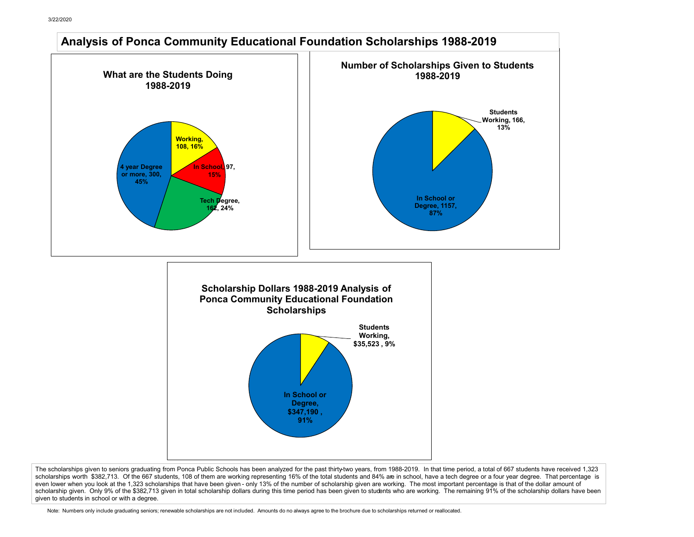

The scholarships given to seniors graduating from Ponca Public Schools has been analyzed for the past thirty-two years, from 1988-2019. In that time period, a total of 667 students have received 1,323 scholarships worth \$382,713. Of the 667 students, 108 of them are working representing 16% of the total students and 84% are in school, have a tech degree or a four year degree. That percentage is even lower when you look at the 1,323 scholarships that have been given - only 13% of the number of scholarship given are working. The most important percentage is that of the dollar amount of scholarship given. Only 9% of the \$382,713 given in total scholarship dollars during this time period has been given to students who are working. The remaining 91% of the scholarship dollars have been given to students in school or with a degree.